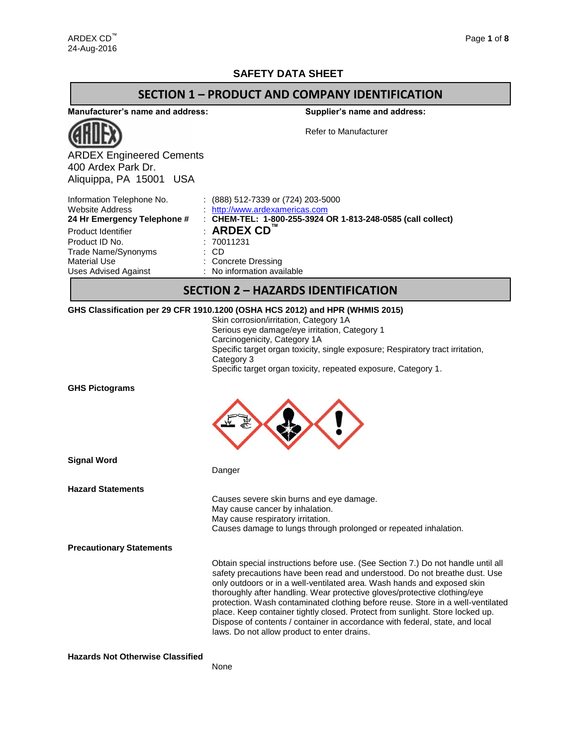## **SAFETY DATA SHEET**

### **SECTION 1 – PRODUCT AND COMPANY IDENTIFICATION**

**Manufacturer's name and address:**

**Supplier's name and address:**



ARDEX Engineered Cements 400 Ardex Park Dr. Aliquippa, PA 15001 USA

Refer to Manufacturer

| Information Telephone No.<br><b>Website Address</b><br>24 Hr Emergency Telephone # | $(888)$ 512-7339 or (724) 203-5000<br>http://www.ardexamericas.com<br>: CHEM-TEL: 1-800-255-3924 OR 1-813-248-0585 (call collect) |
|------------------------------------------------------------------------------------|-----------------------------------------------------------------------------------------------------------------------------------|
| Product Identifier                                                                 | $:$ ARDEX CD $^{\mathsf{m}}$                                                                                                      |
| Product ID No.                                                                     | : 70011231                                                                                                                        |
| Trade Name/Synonyms                                                                | : CD                                                                                                                              |
| Material Use                                                                       | : Concrete Dressing                                                                                                               |
| <b>Uses Advised Against</b>                                                        | : No information available                                                                                                        |

## **SECTION 2 – HAZARDS IDENTIFICATION**

### **GHS Classification per 29 CFR 1910.1200 (OSHA HCS 2012) and HPR (WHMIS 2015)**

Danger

| Skin corrosion/irritation, Category 1A                                         |
|--------------------------------------------------------------------------------|
| Serious eye damage/eye irritation, Category 1                                  |
| Carcinogenicity, Category 1A                                                   |
| Specific target organ toxicity, single exposure; Respiratory tract irritation, |
| Category 3                                                                     |
| Specific target organ toxicity, repeated exposure, Category 1.                 |
|                                                                                |

**GHS Pictograms**



**Signal Word**

**Hazard Statements**

| Causes severe skin burns and eye damage.                         |
|------------------------------------------------------------------|
| May cause cancer by inhalation.                                  |
| May cause respiratory irritation.                                |
| Causes damage to lungs through prolonged or repeated inhalation. |
|                                                                  |

**Precautionary Statements**

Obtain special instructions before use. (See Section 7.) Do not handle until all safety precautions have been read and understood. Do not breathe dust. Use only outdoors or in a well-ventilated area. Wash hands and exposed skin thoroughly after handling. Wear protective gloves/protective clothing/eye protection. Wash contaminated clothing before reuse. Store in a well-ventilated place. Keep container tightly closed. Protect from sunlight. Store locked up. Dispose of contents / container in accordance with federal, state, and local laws. Do not allow product to enter drains.

**Hazards Not Otherwise Classified**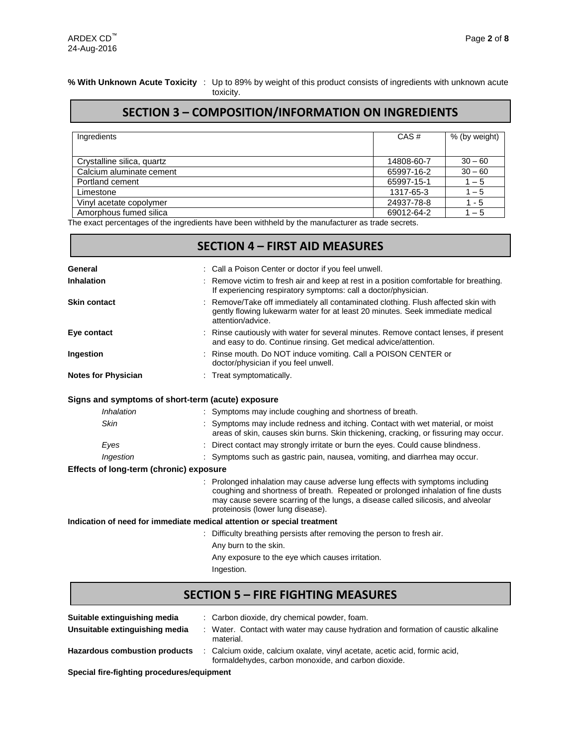г

### **% With Unknown Acute Toxicity** : Up to 89% by weight of this product consists of ingredients with unknown acute

toxicity.

# **SECTION 3 – COMPOSITION/INFORMATION ON INGREDIENTS**

| Ingredients                | CAS#       | % (by weight) |
|----------------------------|------------|---------------|
|                            |            |               |
| Crystalline silica, quartz | 14808-60-7 | $30 - 60$     |
| Calcium aluminate cement   | 65997-16-2 | $30 - 60$     |
| Portland cement            | 65997-15-1 | $1 - 5$       |
| Limestone                  | 1317-65-3  | $1 - 5$       |
| Vinyl acetate copolymer    | 24937-78-8 | $1 - 5$       |
| Amorphous fumed silica     | 69012-64-2 | $1 - 5$       |

The exact percentages of the ingredients have been withheld by the manufacturer as trade secrets.

| <b>SECTION 4 - FIRST AID MEASURES</b>                                                                                                                                                                                                                                                    |  |  |  |  |  |  |
|------------------------------------------------------------------------------------------------------------------------------------------------------------------------------------------------------------------------------------------------------------------------------------------|--|--|--|--|--|--|
| : Call a Poison Center or doctor if you feel unwell.                                                                                                                                                                                                                                     |  |  |  |  |  |  |
| : Remove victim to fresh air and keep at rest in a position comfortable for breathing.<br>If experiencing respiratory symptoms: call a doctor/physician.                                                                                                                                 |  |  |  |  |  |  |
| Remove/Take off immediately all contaminated clothing. Flush affected skin with<br>gently flowing lukewarm water for at least 20 minutes. Seek immediate medical<br>attention/advice.                                                                                                    |  |  |  |  |  |  |
| Rinse cautiously with water for several minutes. Remove contact lenses, if present<br>and easy to do. Continue rinsing. Get medical advice/attention.                                                                                                                                    |  |  |  |  |  |  |
| Rinse mouth. Do NOT induce vomiting. Call a POISON CENTER or<br>doctor/physician if you feel unwell.                                                                                                                                                                                     |  |  |  |  |  |  |
| : Treat symptomatically.                                                                                                                                                                                                                                                                 |  |  |  |  |  |  |
| Signs and symptoms of short-term (acute) exposure                                                                                                                                                                                                                                        |  |  |  |  |  |  |
| : Symptoms may include coughing and shortness of breath.                                                                                                                                                                                                                                 |  |  |  |  |  |  |
| Symptoms may include redness and itching. Contact with wet material, or moist<br>areas of skin, causes skin burns. Skin thickening, cracking, or fissuring may occur.                                                                                                                    |  |  |  |  |  |  |
| Direct contact may strongly irritate or burn the eyes. Could cause blindness.                                                                                                                                                                                                            |  |  |  |  |  |  |
| : Symptoms such as gastric pain, nausea, vomiting, and diarrhea may occur.                                                                                                                                                                                                               |  |  |  |  |  |  |
| Effects of long-term (chronic) exposure                                                                                                                                                                                                                                                  |  |  |  |  |  |  |
| Prolonged inhalation may cause adverse lung effects with symptoms including<br>coughing and shortness of breath. Repeated or prolonged inhalation of fine dusts<br>may cause severe scarring of the lungs, a disease called silicosis, and alveolar<br>proteinosis (lower lung disease). |  |  |  |  |  |  |
| Indication of need for immediate medical attention or special treatment                                                                                                                                                                                                                  |  |  |  |  |  |  |
| Difficulty breathing persists after removing the person to fresh air.                                                                                                                                                                                                                    |  |  |  |  |  |  |
| Any burn to the skin.                                                                                                                                                                                                                                                                    |  |  |  |  |  |  |
| Any exposure to the eye which causes irritation.                                                                                                                                                                                                                                         |  |  |  |  |  |  |
|                                                                                                                                                                                                                                                                                          |  |  |  |  |  |  |

| Suitable extinguishing media         | : Carbon dioxide, dry chemical powder, foam.                                                                                      |
|--------------------------------------|-----------------------------------------------------------------------------------------------------------------------------------|
| Unsuitable extinguishing media       | Water. Contact with water may cause hydration and formation of caustic alkaline<br>material.                                      |
| <b>Hazardous combustion products</b> | : Calcium oxide, calcium oxalate, vinyl acetate, acetic acid, formic acid,<br>formaldehydes, carbon monoxide, and carbon dioxide. |

**Special fire-fighting procedures/equipment**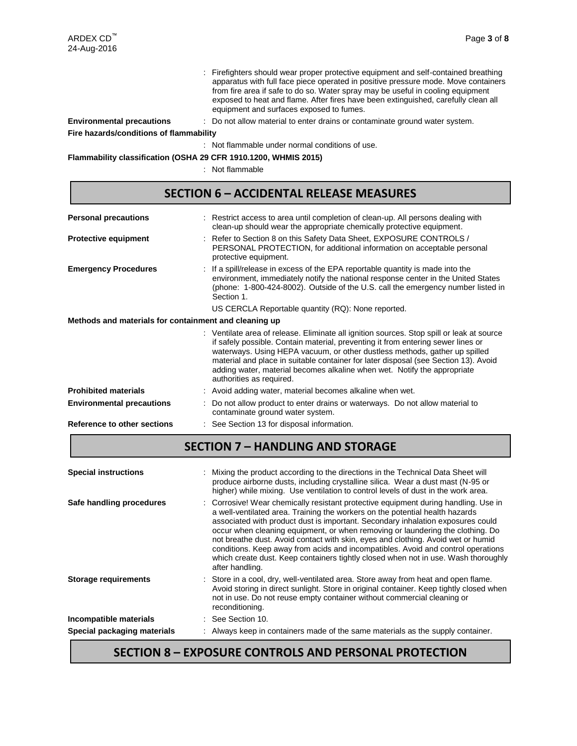: Firefighters should wear proper protective equipment and self-contained breathing apparatus with full face piece operated in positive pressure mode. Move containers from fire area if safe to do so. Water spray may be useful in cooling equipment exposed to heat and flame. After fires have been extinguished, carefully clean all equipment and surfaces exposed to fumes.

**Environmental precautions** : Do not allow material to enter drains or contaminate ground water system.

**Fire hazards/conditions of flammability**

: Not flammable under normal conditions of use.

**Flammability classification (OSHA 29 CFR 1910.1200, WHMIS 2015)**

: Not flammable

## **SECTION 6 – ACCIDENTAL RELEASE MEASURES**

| <b>Personal precautions</b>                                                                                                                                                                                                                                                                                                                                                                                                                                |  | : Restrict access to area until completion of clean-up. All persons dealing with<br>clean-up should wear the appropriate chemically protective equipment.                                                                                                             |  |  |  |  |  |
|------------------------------------------------------------------------------------------------------------------------------------------------------------------------------------------------------------------------------------------------------------------------------------------------------------------------------------------------------------------------------------------------------------------------------------------------------------|--|-----------------------------------------------------------------------------------------------------------------------------------------------------------------------------------------------------------------------------------------------------------------------|--|--|--|--|--|
| <b>Protective equipment</b>                                                                                                                                                                                                                                                                                                                                                                                                                                |  | : Refer to Section 8 on this Safety Data Sheet, EXPOSURE CONTROLS /<br>PERSONAL PROTECTION, for additional information on acceptable personal<br>protective equipment.                                                                                                |  |  |  |  |  |
| <b>Emergency Procedures</b>                                                                                                                                                                                                                                                                                                                                                                                                                                |  | : If a spill/release in excess of the EPA reportable quantity is made into the<br>environment, immediately notify the national response center in the United States<br>(phone: 1-800-424-8002). Outside of the U.S. call the emergency number listed in<br>Section 1. |  |  |  |  |  |
|                                                                                                                                                                                                                                                                                                                                                                                                                                                            |  | US CERCLA Reportable quantity (RQ): None reported.                                                                                                                                                                                                                    |  |  |  |  |  |
| Methods and materials for containment and cleaning up                                                                                                                                                                                                                                                                                                                                                                                                      |  |                                                                                                                                                                                                                                                                       |  |  |  |  |  |
| : Ventilate area of release. Eliminate all ignition sources. Stop spill or leak at source<br>if safely possible. Contain material, preventing it from entering sewer lines or<br>waterways. Using HEPA vacuum, or other dustless methods, gather up spilled<br>material and place in suitable container for later disposal (see Section 13). Avoid<br>adding water, material becomes alkaline when wet. Notify the appropriate<br>authorities as required. |  |                                                                                                                                                                                                                                                                       |  |  |  |  |  |
| <b>Prohibited materials</b>                                                                                                                                                                                                                                                                                                                                                                                                                                |  | : Avoid adding water, material becomes alkaline when wet.                                                                                                                                                                                                             |  |  |  |  |  |
| <b>Environmental precautions</b>                                                                                                                                                                                                                                                                                                                                                                                                                           |  | Do not allow product to enter drains or waterways. Do not allow material to<br>contaminate ground water system.                                                                                                                                                       |  |  |  |  |  |
| Reference to other sections                                                                                                                                                                                                                                                                                                                                                                                                                                |  | : See Section 13 for disposal information.                                                                                                                                                                                                                            |  |  |  |  |  |

## **SECTION 7 – HANDLING AND STORAGE**

| <b>Special instructions</b> | Mixing the product according to the directions in the Technical Data Sheet will<br>produce airborne dusts, including crystalline silica. Wear a dust mast (N-95 or<br>higher) while mixing. Use ventilation to control levels of dust in the work area.                                                                                                                                                                                                                                                                                                                                                                   |
|-----------------------------|---------------------------------------------------------------------------------------------------------------------------------------------------------------------------------------------------------------------------------------------------------------------------------------------------------------------------------------------------------------------------------------------------------------------------------------------------------------------------------------------------------------------------------------------------------------------------------------------------------------------------|
| Safe handling procedures    | : Corrosive! Wear chemically resistant protective equipment during handling. Use in<br>a well-ventilated area. Training the workers on the potential health hazards<br>associated with product dust is important. Secondary inhalation exposures could<br>occur when cleaning equipment, or when removing or laundering the clothing. Do<br>not breathe dust. Avoid contact with skin, eyes and clothing. Avoid wet or humid<br>conditions. Keep away from acids and incompatibles. Avoid and control operations<br>which create dust. Keep containers tightly closed when not in use. Wash thoroughly<br>after handling. |
| <b>Storage requirements</b> | : Store in a cool, dry, well-ventilated area. Store away from heat and open flame.<br>Avoid storing in direct sunlight. Store in original container. Keep tightly closed when<br>not in use. Do not reuse empty container without commercial cleaning or<br>reconditioning.                                                                                                                                                                                                                                                                                                                                               |
| Incompatible materials      | See Section 10.                                                                                                                                                                                                                                                                                                                                                                                                                                                                                                                                                                                                           |
| Special packaging materials | Always keep in containers made of the same materials as the supply container.                                                                                                                                                                                                                                                                                                                                                                                                                                                                                                                                             |

# **SECTION 8 – EXPOSURE CONTROLS AND PERSONAL PROTECTION**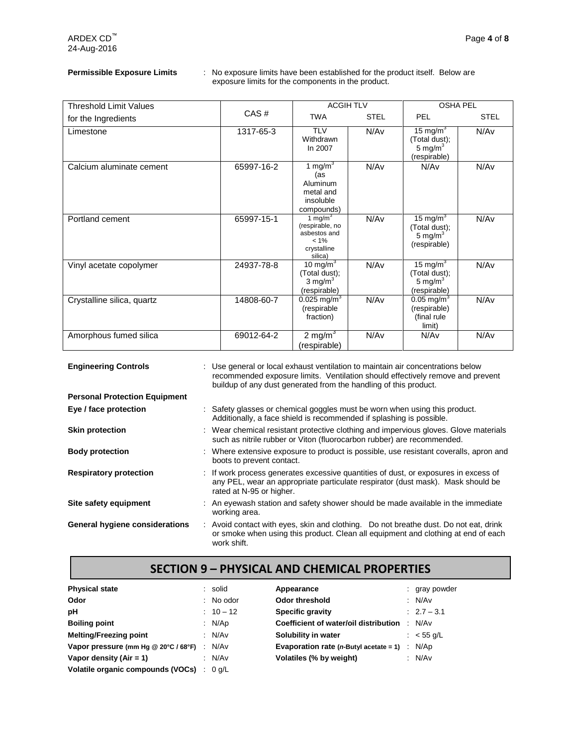**Permissible Exposure Limits** : No exposure limits have been established for the product itself. Below are exposure limits for the components in the product.

| <b>Threshold Limit Values</b> |            | <b>ACGIH TLV</b>                                                                   |             | <b>OSHA PEL</b>                                                            |             |  |
|-------------------------------|------------|------------------------------------------------------------------------------------|-------------|----------------------------------------------------------------------------|-------------|--|
| for the Ingredients           | CAS#       | <b>TWA</b>                                                                         | <b>STEL</b> | PEL                                                                        | <b>STEL</b> |  |
| Limestone                     | 1317-65-3  | <b>TLV</b><br>Withdrawn<br>In 2007                                                 | N/Av        | 15 mg/m <sup>3</sup><br>(Total dust);<br>5 mg/m $3$<br>(respirable)        | N/Av        |  |
| Calcium aluminate cement      | 65997-16-2 | 1 mg/m $3$<br>(as<br>Aluminum<br>metal and<br>insoluble<br>compounds)              | N/Av        | N/Av                                                                       | N/Av        |  |
| Portland cement               | 65997-15-1 | 1 mg/m $3$<br>(respirable, no<br>asbestos and<br>$< 1\%$<br>crystalline<br>silica) | N/Av        | 15 mg/m <sup>3</sup><br>(Total dust);<br>5 mg/ $m3$<br>(respirable)        | N/Av        |  |
| Vinyl acetate copolymer       | 24937-78-8 | 10 mg/m <sup>3</sup><br>(Total dust);<br>3 mg/m $3$<br>(respirable)                | N/Av        | 15 mg/m $3$<br>(Total dust);<br>5 mg/m $3$<br>(respirable)                 | N/Av        |  |
| Crystalline silica, quartz    | 14808-60-7 | $0.025$ mg/m <sup>3</sup><br>(respirable<br>fraction)                              | N/Av        | $0.05 \overline{\mathrm{mg/m}^3}$<br>(respirable)<br>(final rule<br>limit) | N/Av        |  |
| Amorphous fumed silica        | 69012-64-2 | 2 mg/m $3$<br>(respirable)                                                         | N/Av        | N/Av                                                                       | N/Av        |  |

| <b>Engineering Controls</b>          | : Use general or local exhaust ventilation to maintain air concentrations below<br>recommended exposure limits. Ventilation should effectively remove and prevent<br>buildup of any dust generated from the handling of this product. |  |  |
|--------------------------------------|---------------------------------------------------------------------------------------------------------------------------------------------------------------------------------------------------------------------------------------|--|--|
| <b>Personal Protection Equipment</b> |                                                                                                                                                                                                                                       |  |  |
| Eye / face protection                | : Safety glasses or chemical goggles must be worn when using this product.<br>Additionally, a face shield is recommended if splashing is possible.                                                                                    |  |  |
| <b>Skin protection</b>               | : Wear chemical resistant protective clothing and impervious gloves. Glove materials<br>such as nitrile rubber or Viton (fluorocarbon rubber) are recommended.                                                                        |  |  |
| <b>Body protection</b>               | : Where extensive exposure to product is possible, use resistant coveralls, apron and<br>boots to prevent contact.                                                                                                                    |  |  |
| <b>Respiratory protection</b>        | : If work process generates excessive quantities of dust, or exposures in excess of<br>any PEL, wear an appropriate particulate respirator (dust mask). Mask should be<br>rated at N-95 or higher.                                    |  |  |
| Site safety equipment                | : An eyewash station and safety shower should be made available in the immediate<br>working area.                                                                                                                                     |  |  |
| General hygiene considerations       | : Avoid contact with eyes, skin and clothing. Do not breathe dust. Do not eat, drink<br>or smoke when using this product. Clean all equipment and clothing at end of each<br>work shift.                                              |  |  |

# **SECTION 9 – PHYSICAL AND CHEMICAL PROPERTIES**

| <b>Physical state</b>                |        | : solid     | Appearance                                        |        | : gray powder |
|--------------------------------------|--------|-------------|---------------------------------------------------|--------|---------------|
| Odor                                 |        | $:$ No odor | Odor threshold                                    |        | : $N/Av$      |
| рH                                   |        | $: 10 - 12$ | Specific gravity                                  |        | $: 2.7 - 3.1$ |
| <b>Boiling point</b>                 |        | : $N/Ap$    | Coefficient of water/oil distribution             | $\sim$ | N/Av          |
| <b>Melting/Freezing point</b>        |        | : N/Av      | Solubility in water                               |        | : $<$ 55 g/L  |
| Vapor pressure (mm Hg @ 20°C / 68°F) | $\sim$ | N/Av        | Evaporation rate ( <i>n</i> -Butyl acetate = 1) : |        | N/Ap          |
| Vapor density $(Air = 1)$            |        | : N/Av      | Volatiles (% by weight)                           |        | : N/Av        |
| Volatile organic compounds (VOCs) :  |        | 0 a/L       |                                                   |        |               |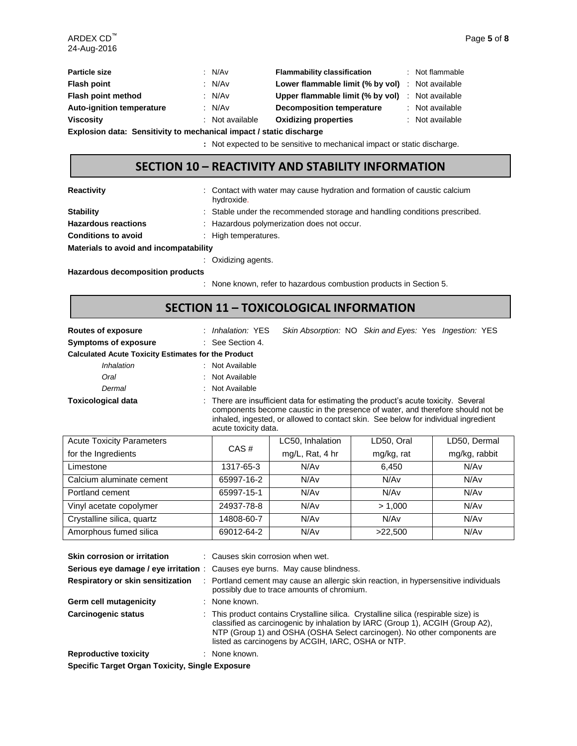| <b>Particle size</b>                                                                          | : N/Av          | <b>Flammability classification</b>               | : Not flammable |
|-----------------------------------------------------------------------------------------------|-----------------|--------------------------------------------------|-----------------|
| <b>Flash point</b>                                                                            | : $N/Av$        | Lower flammable limit (% by vol) : Not available |                 |
| Flash point method                                                                            | : N/Av          | Upper flammable limit (% by vol) : Not available |                 |
| <b>Auto-ignition temperature</b>                                                              | : N/Av          | <b>Decomposition temperature</b>                 | : Not available |
| <b>Viscosity</b>                                                                              | : Not available | <b>Oxidizing properties</b>                      | : Not available |
| Ford to the contract a Constitution of the contract the contract of the contract of the const |                 |                                                  |                 |

**Explosion data: Sensitivity to mechanical impact / static discharge**

**:** Not expected to be sensitive to mechanical impact or static discharge.

# **SECTION 10 – REACTIVITY AND STABILITY INFORMATION**

| <b>Reactivity</b> |
|-------------------|
|-------------------|

**Reactivity** : Contact with water may cause hydration and formation of caustic calcium hydroxide.

| <b>Stability</b>                       | : Stable under the recommended storage and handling conditions prescribed. |
|----------------------------------------|----------------------------------------------------------------------------|
| <b>Hazardous reactions</b>             | : Hazardous polymerization does not occur.                                 |
| <b>Conditions to avoid</b>             | : High temperatures.                                                       |
| Materials to avoid and incompatability |                                                                            |
|                                        | $\sim$ Ovidizing cappin                                                    |

: Oxidizing agents.

**Hazardous decomposition products**

: None known, refer to hazardous combustion products in Section 5.

## **SECTION 11 – TOXICOLOGICAL INFORMATION**

| <b>Routes of exposure</b>                                  | Skin Absorption: NO Skin and Eyes: Yes Ingestion: YES<br>: Inhalation: YES                                                                                                                                                                                                          |  |  |  |  |  |
|------------------------------------------------------------|-------------------------------------------------------------------------------------------------------------------------------------------------------------------------------------------------------------------------------------------------------------------------------------|--|--|--|--|--|
| <b>Symptoms of exposure</b>                                | : See Section 4.                                                                                                                                                                                                                                                                    |  |  |  |  |  |
| <b>Calculated Acute Toxicity Estimates for the Product</b> |                                                                                                                                                                                                                                                                                     |  |  |  |  |  |
| Inhalation                                                 | : Not Available                                                                                                                                                                                                                                                                     |  |  |  |  |  |
| Oral                                                       | : Not Available                                                                                                                                                                                                                                                                     |  |  |  |  |  |
| Dermal                                                     | : Not Available                                                                                                                                                                                                                                                                     |  |  |  |  |  |
| <b>Toxicological data</b>                                  | : There are insufficient data for estimating the product's acute toxicity. Several<br>components become caustic in the presence of water, and therefore should not be<br>inhaled, ingested, or allowed to contact skin. See below for individual ingredient<br>acute toxicity data. |  |  |  |  |  |

| <b>Acute Toxicity Parameters</b> |            | LC50, Inhalation | LD50, Oral       | LD50, Dermal     |
|----------------------------------|------------|------------------|------------------|------------------|
| for the Ingredients              | CAS#       | mg/L, Rat, 4 hr  | mg/kg, rat       | mg/kg, rabbit    |
| Limestone                        | 1317-65-3  | N/Av             | 6.450            | N/Av             |
| Calcium aluminate cement         | 65997-16-2 | N/Av             | N/A <sub>v</sub> | N/Av             |
| Portland cement                  | 65997-15-1 | N/Av             | N/A <sub>v</sub> | N/A <sub>v</sub> |
| Vinyl acetate copolymer          | 24937-78-8 | N/Av             | > 1.000          | N/Av             |
| Crystalline silica, quartz       | 14808-60-7 | N/Av             | N/Av             | N/A <sub>v</sub> |
| Amorphous fumed silica           | 69012-64-2 | N/Av             | >22,500          | N/A <sub>v</sub> |

| <b>Skin corrosion or irritation</b>                    |  | $\therefore$ Causes skin corrosion when wet.<br><b>Serious eye damage / eye irritation</b> : Causes eye burns. May cause blindness.                                                                                                                                                                    |  |  |  |
|--------------------------------------------------------|--|--------------------------------------------------------------------------------------------------------------------------------------------------------------------------------------------------------------------------------------------------------------------------------------------------------|--|--|--|
| Respiratory or skin sensitization                      |  | : Portland cement may cause an allergic skin reaction, in hypersensitive individuals<br>possibly due to trace amounts of chromium.                                                                                                                                                                     |  |  |  |
| Germ cell mutagenicity                                 |  | : None known.                                                                                                                                                                                                                                                                                          |  |  |  |
| <b>Carcinogenic status</b>                             |  | : This product contains Crystalline silica. Crystalline silica (respirable size) is<br>classified as carcinogenic by inhalation by IARC (Group 1), ACGIH (Group A2),<br>NTP (Group 1) and OSHA (OSHA Select carcinogen). No other components are<br>listed as carcinogens by ACGIH, IARC, OSHA or NTP. |  |  |  |
| <b>Reproductive toxicity</b>                           |  | : None known.                                                                                                                                                                                                                                                                                          |  |  |  |
| <b>Specific Target Organ Toxicity, Single Exposure</b> |  |                                                                                                                                                                                                                                                                                                        |  |  |  |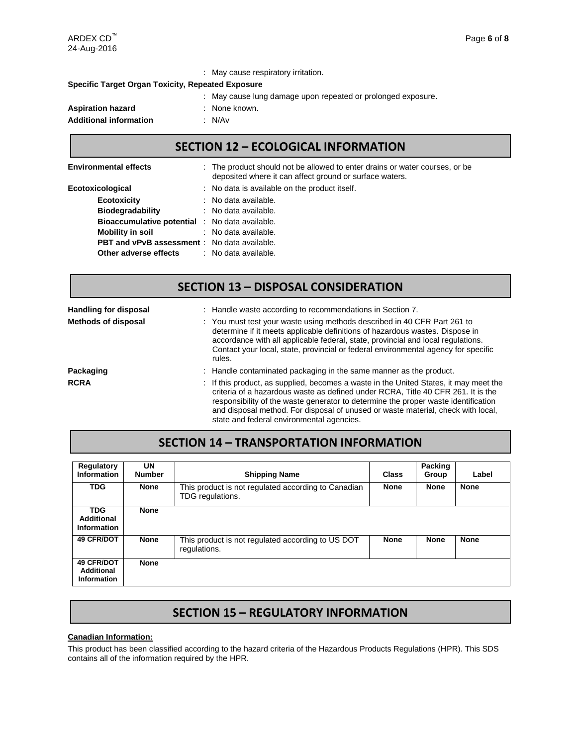|                                                          | : May cause respiratory irritation.                          |  |  |  |  |  |  |
|----------------------------------------------------------|--------------------------------------------------------------|--|--|--|--|--|--|
| <b>Specific Target Organ Toxicity, Repeated Exposure</b> |                                                              |  |  |  |  |  |  |
|                                                          | : May cause lung damage upon repeated or prolonged exposure. |  |  |  |  |  |  |
| <b>Aspiration hazard</b>                                 | : None known.                                                |  |  |  |  |  |  |
| <b>Additional information</b>                            | : N/Av                                                       |  |  |  |  |  |  |
|                                                          |                                                              |  |  |  |  |  |  |

## **SECTION 12 – ECOLOGICAL INFORMATION**

| <b>Environmental effects</b>                          | : The product should not be allowed to enter drains or water courses, or be<br>deposited where it can affect ground or surface waters. |
|-------------------------------------------------------|----------------------------------------------------------------------------------------------------------------------------------------|
| Ecotoxicological                                      | : No data is available on the product itself.                                                                                          |
| <b>Ecotoxicity</b>                                    | : No data available.                                                                                                                   |
| <b>Biodegradability</b>                               | : No data available.                                                                                                                   |
| <b>Bioaccumulative potential : No data available.</b> |                                                                                                                                        |
| Mobility in soil                                      | : No data available.                                                                                                                   |
| <b>PBT and vPvB assessment</b> : No data available.   |                                                                                                                                        |
| Other adverse effects                                 | : No data available.                                                                                                                   |

# Handling for disposal : Handle waste according to recommendations in Section 7. **Methods of disposal** : You must test your waste using methods described in 40 CFR Part 261 to determine if it meets applicable definitions of hazardous wastes. Dispose in **SECTION 13 – DISPOSAL CONSIDERATION**

|             | accordance with all applicable federal, state, provincial and local regulations.<br>Contact your local, state, provincial or federal environmental agency for specific<br>rules.                                                                                                                                                                                                                 |
|-------------|--------------------------------------------------------------------------------------------------------------------------------------------------------------------------------------------------------------------------------------------------------------------------------------------------------------------------------------------------------------------------------------------------|
| Packaging   | : Handle contaminated packaging in the same manner as the product.                                                                                                                                                                                                                                                                                                                               |
| <b>RCRA</b> | : If this product, as supplied, becomes a waste in the United States, it may meet the<br>criteria of a hazardous waste as defined under RCRA, Title 40 CFR 261. It is the<br>responsibility of the waste generator to determine the proper waste identification<br>and disposal method. For disposal of unused or waste material, check with local,<br>state and federal environmental agencies. |

## **SECTION 14 – TRANSPORTATION INFORMATION**

| Regulatory<br><b>Information</b>               | UN<br><b>Number</b> | <b>Shipping Name</b>                                                    | <b>Class</b> | Packing<br>Group | Label       |
|------------------------------------------------|---------------------|-------------------------------------------------------------------------|--------------|------------------|-------------|
| <b>TDG</b>                                     | <b>None</b>         | This product is not regulated according to Canadian<br>TDG regulations. | <b>None</b>  | <b>None</b>      | <b>None</b> |
| <b>TDG</b><br>Additional<br><b>Information</b> | <b>None</b>         |                                                                         |              |                  |             |
| <b>49 CFR/DOT</b>                              | <b>None</b>         | This product is not regulated according to US DOT<br>regulations.       | <b>None</b>  | <b>None</b>      | <b>None</b> |
| 49 CFR/DOT<br>Additional<br>Information        | <b>None</b>         |                                                                         |              |                  |             |

## **SECTION 15 – REGULATORY INFORMATION**

### **Canadian Information:**

This product has been classified according to the hazard criteria of the Hazardous Products Regulations (HPR). This SDS contains all of the information required by the HPR.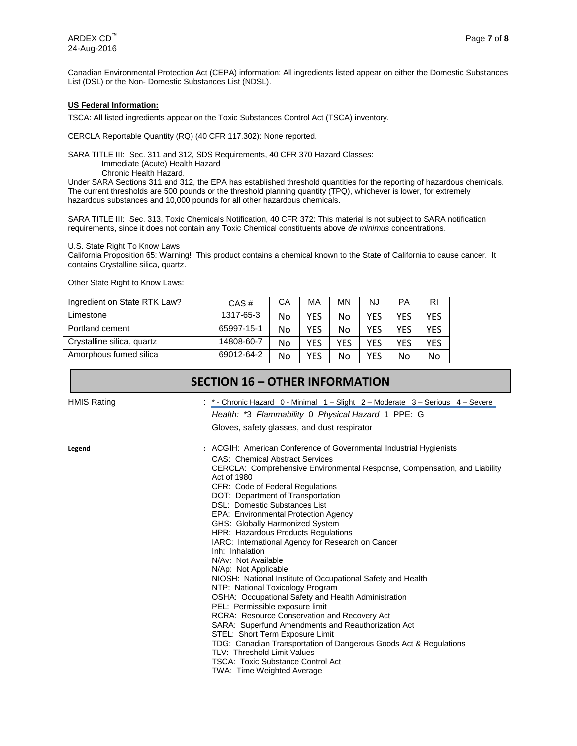Canadian Environmental Protection Act (CEPA) information: All ingredients listed appear on either the Domestic Substances List (DSL) or the Non- Domestic Substances List (NDSL).

#### **US Federal Information:**

TSCA: All listed ingredients appear on the Toxic Substances Control Act (TSCA) inventory.

CERCLA Reportable Quantity (RQ) (40 CFR 117.302): None reported.

SARA TITLE III: Sec. 311 and 312, SDS Requirements, 40 CFR 370 Hazard Classes:

Immediate (Acute) Health Hazard

Chronic Health Hazard.

Under SARA Sections 311 and 312, the EPA has established threshold quantities for the reporting of hazardous chemicals. The current thresholds are 500 pounds or the threshold planning quantity (TPQ), whichever is lower, for extremely hazardous substances and 10,000 pounds for all other hazardous chemicals.

SARA TITLE III: Sec. 313, Toxic Chemicals Notification, 40 CFR 372: This material is not subject to SARA notification requirements, since it does not contain any Toxic Chemical constituents above *de minimus* concentrations.

#### U.S. State Right To Know Laws

California Proposition 65: Warning! This product contains a chemical known to the State of California to cause cancer. It contains Crystalline silica, quartz.

Other State Right to Know Laws:

| Ingredient on State RTK Law? | CAS#       | CА | MA  | <b>MN</b> | <b>NJ</b>  | РA  | RI  |
|------------------------------|------------|----|-----|-----------|------------|-----|-----|
| Limestone                    | 1317-65-3  | No | YES | No        | YES        | YES | YES |
| Portland cement              | 65997-15-1 | No | YES | No        | YES        | YES | YES |
| Crystalline silica, quartz   | 14808-60-7 | No | YFS | YFS       | YES        | YES | YES |
| Amorphous fumed silica       | 69012-64-2 | No | YFS | No        | <b>YFS</b> | No  | No  |

### **SECTION 16 – OTHER INFORMATION**

HMIS Rating **: \*** - Chronic Hazard 0 - Minimal 1 – Slight 2 – Moderate 3 – Serious 4 – Severe *Health:* \*3 *Flammability* 0 *Physical Hazard* 1 PPE: G Gloves, safety glasses, and dust respirator

**Legend :** ACGIH: American Conference of Governmental Industrial Hygienists CAS: Chemical Abstract Services CERCLA: Comprehensive Environmental Response, Compensation, and Liability Act of 1980 CFR: Code of Federal Regulations DOT: Department of Transportation DSL: Domestic Substances List EPA: Environmental Protection Agency GHS: Globally Harmonized System HPR: Hazardous Products Regulations IARC: International Agency for Research on Cancer Inh: Inhalation N/Av: Not Available N/Ap: Not Applicable NIOSH: National Institute of Occupational Safety and Health NTP: National Toxicology Program OSHA: Occupational Safety and Health Administration PEL: Permissible exposure limit RCRA: Resource Conservation and Recovery Act SARA: Superfund Amendments and Reauthorization Act STEL: Short Term Exposure Limit TDG: Canadian Transportation of Dangerous Goods Act & Regulations TLV: Threshold Limit Values TSCA: Toxic Substance Control Act

TWA: Time Weighted Average